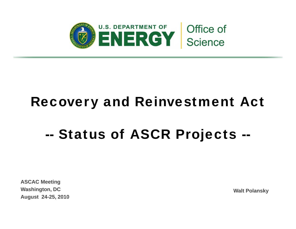

# Recovery and Reinvestment Act

### --Status of ASCR Projects --

**ASCAC Meeting Washington, DC Walt Polansky August 24-25, 2010**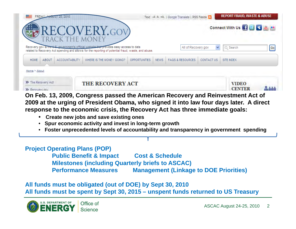| <b>FRIDAY ARTIST #20#2010</b>                                          |                                                                                                                                                                                              | Text -A A +A   Google Translate   RSS Feeds                     | <b>REPORT FRAUD, WASTE &amp; ABUSE</b> |
|------------------------------------------------------------------------|----------------------------------------------------------------------------------------------------------------------------------------------------------------------------------------------|-----------------------------------------------------------------|----------------------------------------|
|                                                                        | RECOVERY.GOV<br><b>PAYE KETER MONEY</b>                                                                                                                                                      |                                                                 | Connect With Us   1   B   B   M        |
|                                                                        | Recovery gov is the second annual statistical wide was a provides easy access to data<br>related to Recovery Act spending and allows for the reporting of potential fraud, waste, and abuse. | All of Recovery.gov                                             | $ \mathsf{Go} $<br>Q Search<br>v       |
| <b>ACCOUNTABILITY</b><br><b>HOME</b><br>ABOUT                          | WHERE IS THE MONEY GOING?<br><b>OPPORTUNITIES</b>                                                                                                                                            | <b>FAQS &amp; RESOURCES</b><br><b>NEWS</b><br><b>CONTACT US</b> | SITE INDEX                             |
| Home > About                                                           |                                                                                                                                                                                              |                                                                 |                                        |
| >> The Recovery Act                                                    | <b>THE RECOVERY ACT</b>                                                                                                                                                                      |                                                                 | <b>VIDEO</b><br><b>CENTER</b>          |
| >> Recovery now<br>$\bigcap_{n}$ $\bigcap_{n}$<br>nnnn.<br>$\triangle$ |                                                                                                                                                                                              | Cangroso nossed the American Desaugus and Deinvestment Ast of   |                                        |

**On Feb. 13, 2009, Congress passed the American Recovery and Reinvestment Act of 2009 at the urging of President Obama, who signed it into law four days later. A direct response to the economic crisis, the Recovery Act has three immediate goals:**

- •**Create new jobs and save existing ones**
- •**Spur economic activity and invest in long-term growth**
- Foster unprecedented levels of accountability and transparency in government spending

#### **Project Operating Plans (POP)**

**Public Benefit & Impact Cost & Schedule &Milestones (including Quarterly briefs to ASCAC) Performance Measures Management (Linkage to DOE Priorities)**

### All funds must be obligated (out of DOE) by Sept 30, 2010 **All funds must be spent by Sept 30, 2015 – unspent funds returned to US Treasury**

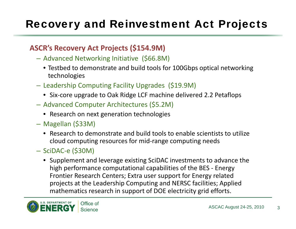# Recovery and Reinvestment Act Projects

### **ASCR's Recovery Act Projects (\$154.9M)**

- Advanced Networking Initiative (\$66.8M)
	- $\bullet$  Testbed to demonstrate and build tools for 100Gbps optical networking technologies
- Leadership Computing Facility Upgrades (\$19.9M)
	- Six ‐core upgrade to Oak Ridge LCF machine delivered 2.2 Petaflops
- Advanced Computer Architectures (\$5.2M)
	- Research on next generation technologies
- Magellan (\$33M)
	- Research to demonstrate and build tools to enable scientists to utilize cloud computing resources for mid ‐range computing needs
- SciDAC-e (\$30M)
	- Supplement and leverage existing SciDAC investments to advance the high performance computational capabilities of the BES ‐ Energy Frontier Research Centers; Extra user support for Energy related projects at the Leadership Computing and NERSC facilities; Applied mathematics research in support of DOE electricity grid efforts.

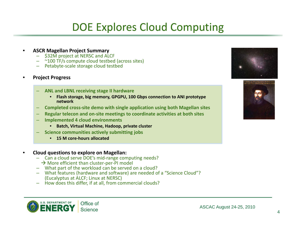### DOE Explores Cloud Computing

- • **ASCR Magellan Project Summary**
	- \$32M project at NERSC and ALCF
	- ~100 TF/s compute cloud testbed (across sites)
	- Petabyte‐scale storage cloud testbed
- • **Project Progress**
	- **ANL and LBNL receiving stage II hardware**
		- **Flash storage, big memory, GPGPU, 100 Gbps connection to ANI prototype network**
	- **Completed cross‐site demo with single application using both Magellan sites**
	- **Regular telecon and on‐site meetings to coordinate activities at both sites**
	- **Implemented 4 cloud environments**
		- **Batch, Virtual Machine, Hadoop, private cluster**
		- **Science communities actively submitting jobs**
			- **15 M core‐hours allocated**
- • **Cloud questions to explore on Magellan:**
	- Can a cloud serve DOE's mid-range computing needs?
	- $\rightarrow$  More efficient than cluster-per-PI model
	- What part of the workload can be served on <sup>a</sup> cloud?
	- What features (hardware and software) are needed of <sup>a</sup> "Science Cloud"? (Eucalyptus at ALCF; Linux at NERSC)
	- How does this differ, if at all, from commercial clouds?





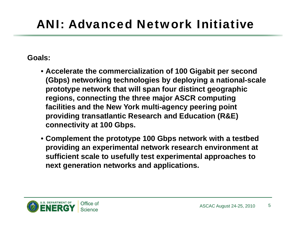# ANI: Advanced Network Initiative

### **Goals:**

- **Accelerate the commercialization of 100 Gigabit per second commercialization (Gbps) networking technologies by deploying a national-scale prototype network that will span four distinct geographic regions, connecting the three major ASCR computing three facilities and the New York multi-agency peering point providing transatlantic Research and Education (R&E) connectivit y at 100 Gb ps.**
- **Complement the prototype 100 Gbps network with a testbed providing an experimental network research environment at sufficient scale to usefully test experimental approaches to next generation networks and applications.**

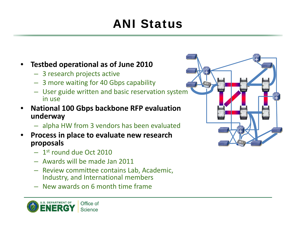# ANI Status

- • **Testbed operational as of June 2010**
	- 3 research projects active
	- 3 more waiting for 40 Gbps capability
	- User guide written and basic reservation system in use
- • **National 100 Gbps backbone RFP evaluation underway**
	- alpha HW from 3 vendors has been evaluated
- • **Process in place to evaluate new research proposals**
	- $1^{\rm st}$  round due Oct 2010
	- Awards will be made Jan 2011
	- Review committee contains Lab, Academic, Industry, and International members
	- New awards on 6 month time frame



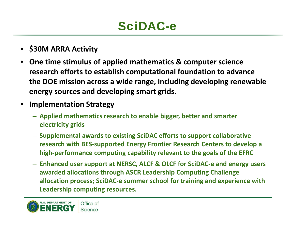# SciDAC-e

- **\$30M ARRA Activity**
- • **One time stimulus of applied mathematics & computer science research efforts to establish computational foundation to advance the DOE mission across <sup>a</sup> wide range, including developing renewable energy sources and developing smart grids.**
- • **Implementation Strategy**
	- **Applied mathematics research to enable bigger, better and smarter electricity grids**
	- **Supplemental awards to existing SciDAC efforts to support collaborative research with BES‐supported Energy Frontier Research Centers to develop <sup>a</sup> high‐performance computing capability relevant to the goals of the EFRC**
	- **Enhanced user support at NERSC, ALCF & OLCF for SciDAC‐<sup>e</sup> and energy users awarded allocations through ASCR Leadership Computing Challenge allocation process; SciDAC‐<sup>e</sup> summer school for training and experience with Leadership computing resources.**

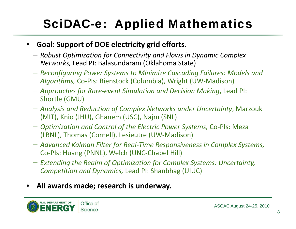# **SciDAC-e: Applied Mathematics**

- •• Goal: Support of DOE electricity grid efforts.
	- *Robust Optimization for Connectivity and Flows in Dynamic Complex Networks,* Lead PI: Balasundaram (Oklahoma State)
	- Reconfiguring Power Systems to Minimize Cascading Failures: Models and *Algorithms,* Co‐PIs: Bienstock (Columbia), Wright (UW‐Madison)
	- *Approaches for Rare‐event Simulation and Decision Making*, Lead PI: Shortle (GMU)
	- *Analysis and Reduction of Complex Networks under Uncertainty*, Marzouk (MIT), Knio (JHU), Ghanem (USC), Najm (SNL)
	- *Optimization and Control of the Electric Power Systems,* Co‐PIs: Meza (LBNL), Thomas (Cornell), Lesieutre (UW‐Madison)
	- *Advanced Kalman Filter for Real‐Time Responsiveness in Complex Systems,* Co‐PIs: Huang (PNNL), Welch (UNC‐Chapel Hill)
	- *Extending the Realm of Optimization for Complex Systems: Uncertainty, Competition and Dynamics,* Lead PI: Shanbhag (UIUC)
- •**All awards made; research is underway underway.**

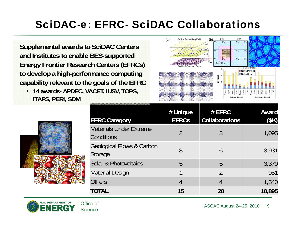### SciDAC-e: EFRC- SciDAC Collaborations

**Supplemental awards to SciDAC Centers and Institutes to enable BES-supported Energy Frontier Research Centers (EFRCs) t d l hi h to develop a high-perf ti formance computing capability relevant to the goals of the EFRC**

• **14 awards- APDEC, VACET, IUSV, TOPS, ITAPS PERI SDM ITAPS, PERI,** 



| <b>EFRC Category</b>                                   | # Unique<br><b>EFRCs</b> | # EFRC<br><b>Collaborations</b> | <b>Award</b><br>(\$K) |
|--------------------------------------------------------|--------------------------|---------------------------------|-----------------------|
| <b>Materials Under Extreme</b><br>Conditions           | $\mathcal{P}$            | 3                               | 1,095                 |
| <b>Geological Flows &amp; Carbon</b><br><b>Storage</b> | 3                        | 6                               | 3,931                 |
| Solar & Photovoltaics                                  | 5                        | 5                               | 3,379                 |
| Material Design                                        |                          | $\mathcal{P}$                   | 951                   |
| <b>Others</b>                                          | 4                        | 4                               | 1,540                 |
| TOTAL                                                  | 15                       | 20                              | 10,895                |

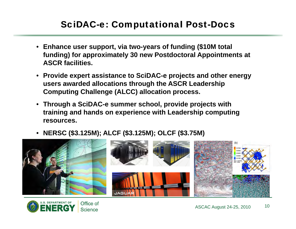### SciDAC-e: Computational Post-Docs

- **Enhance user support, via two-years of funding (\$10M total funding) for approximately 30 new Postdoctoral Appointments at ASCR facilities.**
- **Provide expert assistance to SciDAC-e projects and other energy users awarded allocations through the ASCR Leadership Computing Challenge (ALCC) allocation process.**
- **Through a SciDAC-e summer school, provide projects with training and hands on experience with Leadership computing resources.**
- **NERSC (\$3.125M); ALCF (\$3.125M); OLCF (\$3.75M)**



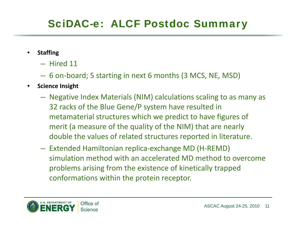## **SciDAC-e: ALCF Postdoc Summary**

- • **Staffing**
	- Hired 11
	- 6 on‐board; 5 starting in next 6 months (3 MCS, NE, MSD)
- •**•** Science Insight
	- Negative Index Materials (NIM) calculations scaling to as many as 32 racks of the Blue Gene/P system have resulted in metamaterial structures which we predict to have figures of merit (a measure of the quality of the NIM) that are nearly double the values of related structures reported in literature.
	- Extended Hamiltonian replica‐exchange MD (H‐REMD) simulation method with an accelerated MD method to overcome problems arising from the existence of kinetically trapped conformations within the protein receptor.

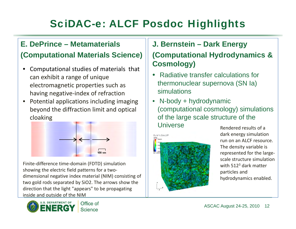# SciDAC-e: ALCF Posdoc Highlights

### **E. D Pi ePrince – Mt t il Metamaterials(Computational Materials Science)**

- • Computational studies of materials that can exhibit a range of unique electromagnetic properties such as having negative‐index of refraction
- Potential applications including imaging  $\bullet$ beyond the diffraction limit and optical cloaking



Finite‐difference time‐domain (FDTD) simulation showing the electric field patterns for a two‐ dimensional negative index material (NIM) consisting of two gold rods separated by SiO2. The arrows show the direction that the light "appears" to be propagating inside and outside of the NIM



### **s**  $\qquad$   $\parallel$  J. Bernstein – Dark Energy **(Computational Hydrodynamics & Cosmology)**

- Radiative transfer calculations for thermonuclear supernova (SN Ia) simulations
- N-body + hydrodynamic  $\bullet$ (computational cosmology) simulations of the large scale structure of the Universe



Rendered results of adark energy simulation run on an ALCF resource. The density variable is represented for the large‐ scale structure simulation with 512 $^3$  dark matter particles and hydrodynamics enabled.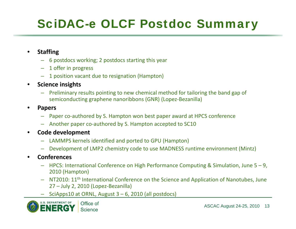# **SciDAC-e OLCF Postdoc Summary**

- • **Staffing**
	- 6 postdocs working; 2 postdocs starting this year
	- 1 offer in progress
	- 1 position vacant due to resignation (Hampton)
- •**•** Science insights
	- Preliminary results pointing to new chemical method for tailoring the band gap of semiconducting graphene nanoribbons (GNR) (Lopez-Bezanilla)
- • **Papers**
	- Paper co‐authored by S. Hampton won best paper award at HPCS conference
	- Another paper co‐authored by S. Hampton accepted to SC10
- • **Code development**
	- LAMMPS kernels identified and ported to GPU (Hampton)
	- Development of LMP2 chemistry code to use MADNESS runtime environment (Mintz)
- • **Conferences**
	- HPCS: International Conference on High Performance Computing & Simulation, June 5 9, 2010 (Hampton)
	- $-$  NT2010: 11<sup>th</sup> International Conference on the Science and Application of Nanotubes, June 27 – July 2, 2010 (Lopez-Bezanilla)
	- SciApps10 at ORNL, August 3 6, 2010 (all postdocs)

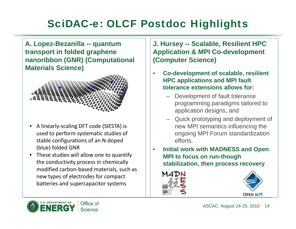### SciDAC-e: OLCF Postdoc Highlights

**A L.opez-B ill ezanilla -- quan tum transport in folded graphene nanoribbon (GNR) (Computational Materials Science )**



- •A linearly-scaling DFT code (SIESTA) used to perform systematic studies of stable configurations of an N‐doped (blue) folded GNR
- These studies will allow one to quantif the conductivity process in chemically modified carbon‐based materials, such as new types of electrodes for compact batteries and supercapacitor systems

### **J H S l bl R ili t HPC J. Hursey -- Scalable, Resilien Application & MPI Co-development (Computer Science)**

- **•** Co-development of scalable, resilient •**HPC applications and MPI fault tolerance extensions allows for:**
	- Development of fault tolerance programming paradigms tailored to application designs, and
- Quick prototyping and deployment of g DFT code (SIESTA) is new MPI semantics influencin g the ongoing MPI Forum standardization efforts.
	- $\bullet$  **Initial work with MADNESS and Open MPI to focus on run-though** stabilization, then process recovery





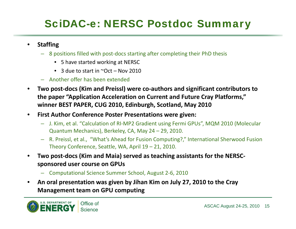## **SciDAC-e: NERSC Postdoc Summary**

- $\bullet$  **Staffing**
	- 8 positions filled with post‐docs starting after completing their PhD thesis
		- 5 have started working at NERSC
		- 3 due to start in ~Oct Nov 2010
	- Another offer has been extended
- • **Two post‐docs (Kim and Preissl) were co‐authors and significant contributors to the p pa er "Application Acceleration on Current and Future Cray Platforms," winner BEST PAPER, CUG 2010, Edinburgh, Scotland, May 2010**
- • **First Author Conference Poster Presentations were given:**
	- J. Kim, et al. "Calculation of RI‐MP2 Gradient using Fermi GPUs", MQM 2010 (Molecular Quantum Mechanics), Berkeley, CA, May  $24 - 29$ , 2010.
	- R. Preissl, et al., "What's Ahead for Fusion Computing?," International Sherwood Fusion Theory Conference, Seattle, WA, April 19 – 21, 2010.
- • **Two post‐docs (Kim and Maia) served as teaching assistants for the NERSC‐ sponsored user course on GPUs**
	- Computational Science Summer School, August 2‐6, 2010
- • **An oral presentation was given by Jihan Kim on July 27, 2010 to the Cray Management team on GPU computing**